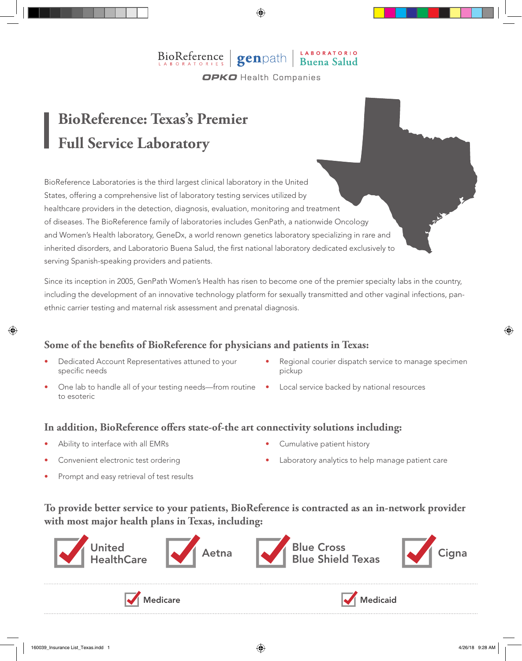### $\left| \right|$  BioReference  $\left| \right|$  genpath  $\left| \right|$ **OPKO** Health Companies

## **BioReference: Texas's Premier Full Service Laboratory**

BioReference Laboratories is the third largest clinical laboratory in the United States, offering a comprehensive list of laboratory testing services utilized by healthcare providers in the detection, diagnosis, evaluation, monitoring and treatment of diseases. The BioReference family of laboratories includes GenPath, a nationwide Oncology and Women's Health laboratory, GeneDx, a world renown genetics laboratory specializing in rare and inherited disorders, and Laboratorio Buena Salud, the first national laboratory dedicated exclusively to serving Spanish-speaking providers and patients.

Since its inception in 2005, GenPath Women's Health has risen to become one of the premier specialty labs in the country, including the development of an innovative technology platform for sexually transmitted and other vaginal infections, panethnic carrier testing and maternal risk assessment and prenatal diagnosis.

#### **Some of the benefits of BioReference for physicians and patients in Texas:**

- Dedicated Account Representatives attuned to your specific needs
- One lab to handle all of your testing needs—from routine Local service backed by national resources to esoteric
- Regional courier dispatch service to manage specimen pickup
- 

#### **In addition, BioReference offers state-of-the art connectivity solutions including:**

- Ability to interface with all EMRs
- Convenient electronic test ordering
- Cumulative patient history
- Laboratory analytics to help manage patient care
- Prompt and easy retrieval of test results
- **To provide better service to your patients, BioReference is contracted as an in-network provider with most major health plans in Texas, including:**